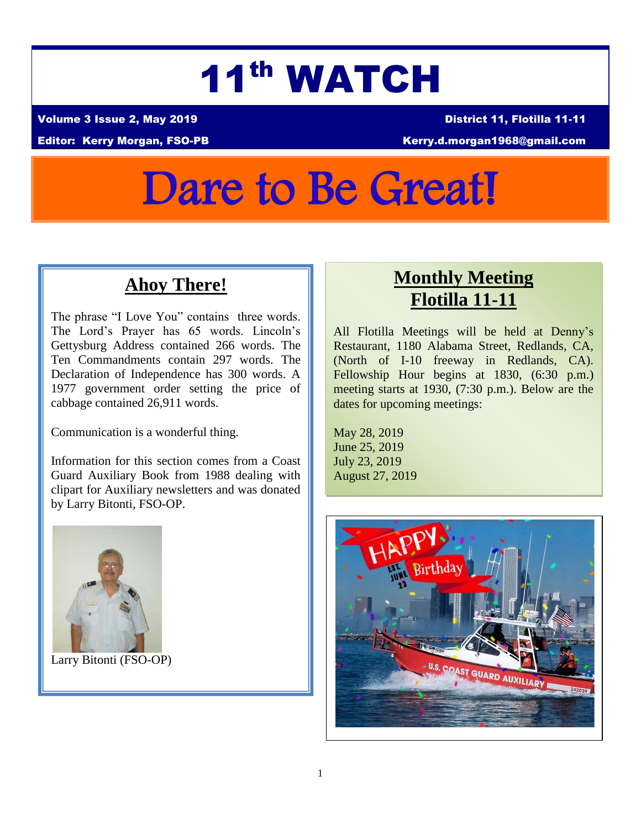# 11th WATCH

Volume 3 Issue 2, May 2019 District 11, Flotilla 11-11

Editor: Kerry Morgan, FSO-PB Kerry.d.morgan1968@gmail.com

# Dare to Be Great!

# **Ahoy There!**

The phrase "I Love You" contains three words. The Lord's Prayer has 65 words. Lincoln's Gettysburg Address contained 266 words. The Ten Commandments contain 297 words. The Declaration of Independence has 300 words. A 1977 government order setting the price of cabbage contained 26,911 words.

Communication is a wonderful thing.

Information for this section comes from a Coast Guard Auxiliary Book from 1988 dealing with clipart for Auxiliary newsletters and was donated by Larry Bitonti, FSO-OP.



Larry Bitonti (FSO-OP)

# **Monthly Meeting Flotilla 11-11**

All Flotilla Meetings will be held at Denny's Restaurant, 1180 Alabama Street, Redlands, CA, (North of I-10 freeway in Redlands, CA). Fellowship Hour begins at 1830, (6:30 p.m.) meeting starts at 1930, (7:30 p.m.). Below are the dates for upcoming meetings:

May 28, 2019 June 25, 2019 July 23, 2019 August 27, 2019

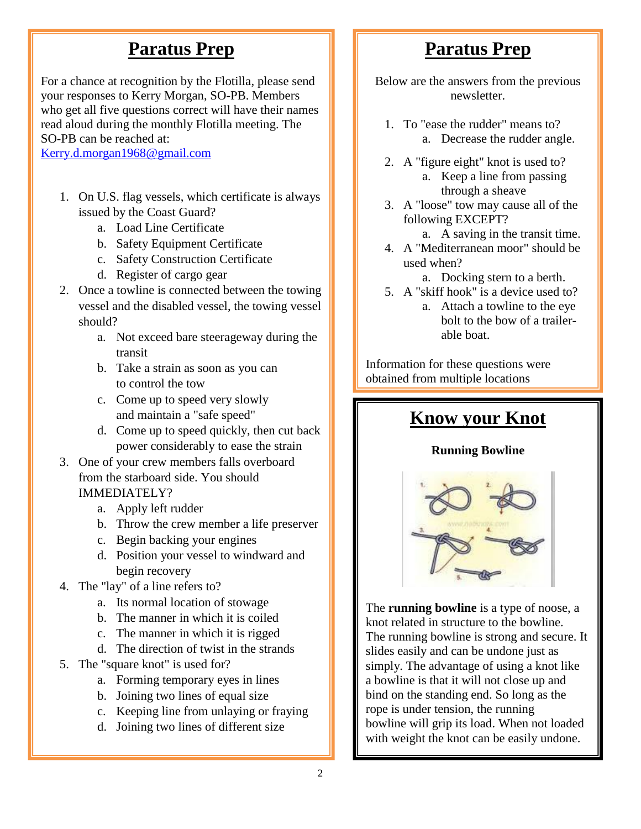# **Paratus Prep**

For a chance at recognition by the Flotilla, please send your responses to Kerry Morgan, SO-PB. Members who get all five questions correct will have their names read aloud during the monthly Flotilla meeting. The SO-PB can be reached at:

[Kerry.d.morgan1968@gmail.com](mailto:Kerry.d.morgan1968@gmail.com)

- 1. On U.S. flag vessels, which certificate is always issued by the Coast Guard?
	- a. Load Line Certificate
	- b. Safety Equipment Certificate
	- c. Safety Construction Certificate
	- d. Register of cargo gear
- 2. Once a towline is connected between the towing vessel and the disabled vessel, the towing vessel should?
	- a. Not exceed bare steerageway during the transit
	- b. Take a strain as soon as you can to control the tow
	- c. Come up to speed very slowly and maintain a "safe speed"
	- d. Come up to speed quickly, then cut back power considerably to ease the strain
- 3. One of your crew members falls overboard from the starboard side. You should IMMEDIATELY?
	- a. Apply left rudder
	- b. Throw the crew member a life preserver
	- c. Begin backing your engines
	- d. Position your vessel to windward and begin recovery
- 4. The "lay" of a line refers to?
	- a. Its normal location of stowage
	- b. The manner in which it is coiled
	- c. The manner in which it is rigged
	- d. The direction of twist in the strands
- 5. The "square knot" is used for?
	- a. Forming temporary eyes in lines
	- b. Joining two lines of equal size
	- c. Keeping line from unlaying or fraying
	- d. Joining two lines of different size

# **Paratus Prep**

Below are the answers from the previous newsletter.

- 1. To "ease the rudder" means to? a. Decrease the rudder angle.
- 2. A "figure eight" knot is used to? a. Keep a line from passing through a sheave
- 3. A "loose" tow may cause all of the following EXCEPT?
	- a. A saving in the transit time.
- 4. A "Mediterranean moor" should be used when?
	- a. Docking stern to a berth.
- 5. A "skiff hook" is a device used to? a. Attach a towline to the eye bolt to the bow of a trailerable boat.

Information for these questions were obtained from multiple locations

# **Know your Knot**

#### **Running Bowline**



The **running bowline** is a type of noose, a knot related in structure to the bowline. The running bowline is strong and secure. It slides easily and can be undone just as simply. The advantage of using a knot like a bowline is that it will not close up and bind on the standing end. So long as the rope is under tension, the running bowline will grip its load. When not loaded with weight the knot can be easily undone.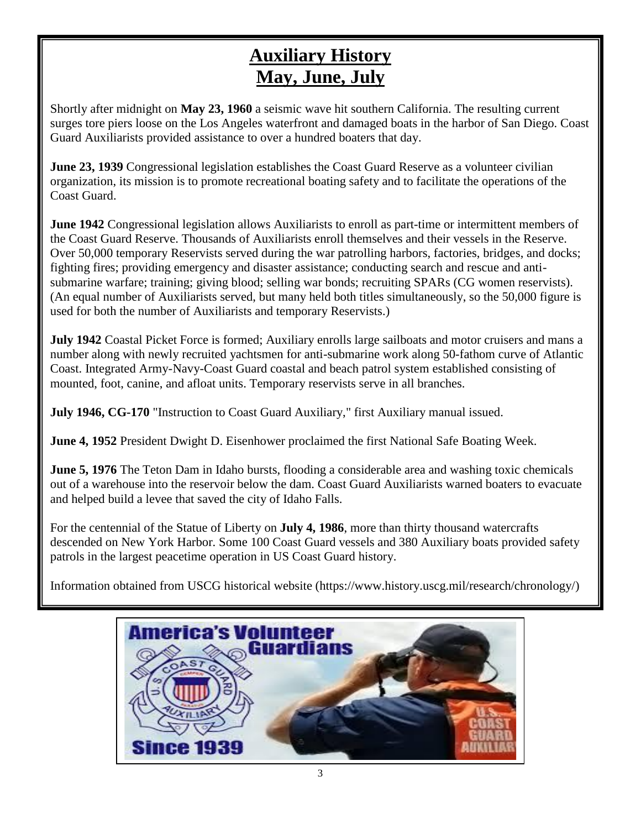# **Auxiliary History May, June, July**

Shortly after midnight on **May 23, 1960** a seismic wave hit southern California. The resulting current surges tore piers loose on the Los Angeles waterfront and damaged boats in the harbor of San Diego. Coast Guard Auxiliarists provided assistance to over a hundred boaters that day.

**June 23, 1939** Congressional legislation establishes the Coast Guard Reserve as a volunteer civilian organization, its mission is to promote recreational boating safety and to facilitate the operations of the Coast Guard.

**June 1942** Congressional legislation allows Auxiliarists to enroll as part-time or intermittent members of the Coast Guard Reserve. Thousands of Auxiliarists enroll themselves and their vessels in the Reserve. Over 50,000 temporary Reservists served during the war patrolling harbors, factories, bridges, and docks; fighting fires; providing emergency and disaster assistance; conducting search and rescue and antisubmarine warfare; training; giving blood; selling war bonds; recruiting SPARs (CG women reservists). (An equal number of Auxiliarists served, but many held both titles simultaneously, so the 50,000 figure is used for both the number of Auxiliarists and temporary Reservists.)

**July 1942** Coastal Picket Force is formed; Auxiliary enrolls large sailboats and motor cruisers and mans a number along with newly recruited yachtsmen for anti-submarine work along 50-fathom curve of Atlantic Coast. Integrated Army-Navy-Coast Guard coastal and beach patrol system established consisting of mounted, foot, canine, and afloat units. Temporary reservists serve in all branches.

**July 1946, CG-170** "Instruction to Coast Guard Auxiliary," first Auxiliary manual issued.

**June 4, 1952** President Dwight D. Eisenhower proclaimed the first National Safe Boating Week.

**June 5, 1976** The Teton Dam in Idaho bursts, flooding a considerable area and washing toxic chemicals out of a warehouse into the reservoir below the dam. Coast Guard Auxiliarists warned boaters to evacuate and helped build a levee that saved the city of Idaho Falls.

For the centennial of the Statue of Liberty on **July 4, 1986**, more than thirty thousand watercrafts descended on New York Harbor. Some 100 Coast Guard vessels and 380 Auxiliary boats provided safety patrols in the largest peacetime operation in US Coast Guard history.

Information obtained from USCG historical website [\(https://www.history.uscg.mil/research/chronology/\)](https://www.history.uscg.mil/research/chronology/)

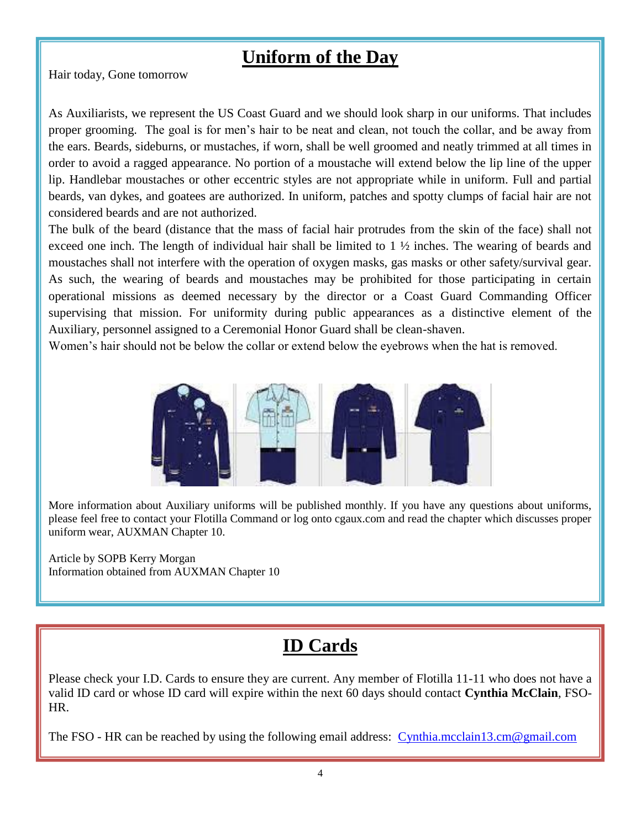### **Uniform of the Day**

Hair today, Gone tomorrow

As Auxiliarists, we represent the US Coast Guard and we should look sharp in our uniforms. That includes proper grooming. The goal is for men's hair to be neat and clean, not touch the collar, and be away from the ears. Beards, sideburns, or mustaches, if worn, shall be well groomed and neatly trimmed at all times in order to avoid a ragged appearance. No portion of a moustache will extend below the lip line of the upper lip. Handlebar moustaches or other eccentric styles are not appropriate while in uniform. Full and partial beards, van dykes, and goatees are authorized. In uniform, patches and spotty clumps of facial hair are not considered beards and are not authorized.

The bulk of the beard (distance that the mass of facial hair protrudes from the skin of the face) shall not exceed one inch. The length of individual hair shall be limited to 1 ½ inches. The wearing of beards and moustaches shall not interfere with the operation of oxygen masks, gas masks or other safety/survival gear. As such, the wearing of beards and moustaches may be prohibited for those participating in certain operational missions as deemed necessary by the director or a Coast Guard Commanding Officer supervising that mission. For uniformity during public appearances as a distinctive element of the Auxiliary, personnel assigned to a Ceremonial Honor Guard shall be clean-shaven.

Women's hair should not be below the collar or extend below the eyebrows when the hat is removed.



More information about Auxiliary uniforms will be published monthly. If you have any questions about uniforms, please feel free to contact your Flotilla Command or log onto cgaux.com and read the chapter which discusses proper uniform wear, AUXMAN Chapter 10.

Article by SOPB Kerry Morgan Information obtained from AUXMAN Chapter 10

# **ID Cards**

Please check your I.D. Cards to ensure they are current. Any member of Flotilla 11-11 who does not have a valid ID card or whose ID card will expire within the next 60 days should contact **Cynthia McClain**, FSO-HR.

The FSO - HR can be reached by using the following email address: [Cynthia.mcclain13.cm@gmail.com](mailto:Cynthia.mcclain13.cm@gmail.com)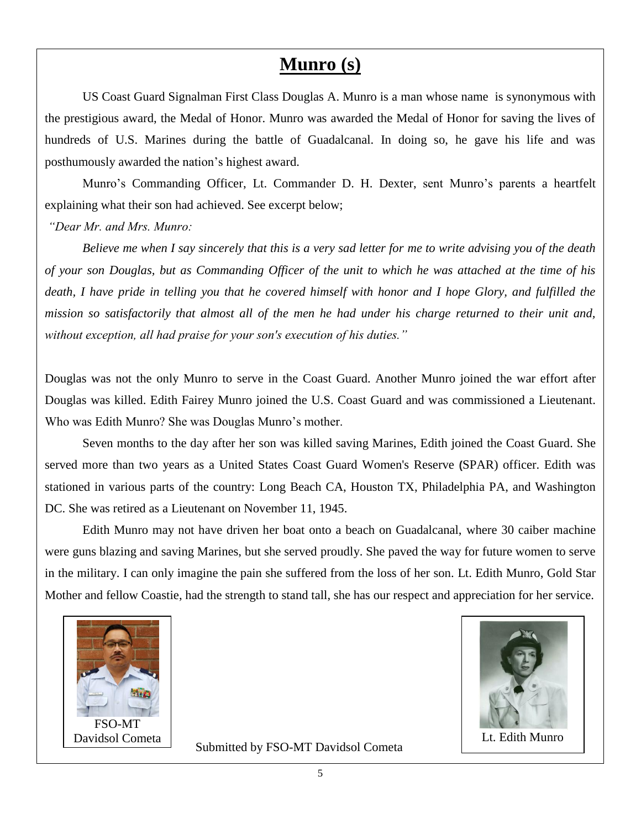#### **Munro (s)**

US Coast Guard Signalman First Class Douglas A. Munro is a man whose name is synonymous with the prestigious award, the Medal of Honor. Munro was awarded the Medal of Honor for saving the lives of hundreds of U.S. Marines during the battle of Guadalcanal. In doing so, he gave his life and was posthumously awarded the nation's highest award.

Munro's Commanding Officer, Lt. Commander D. H. Dexter, sent Munro's parents a heartfelt explaining what their son had achieved. See excerpt below;

*"Dear Mr. and Mrs. Munro:* 

*Believe me when I say sincerely that this is a very sad letter for me to write advising you of the death of your son Douglas, but as Commanding Officer of the unit to which he was attached at the time of his death, I have pride in telling you that he covered himself with honor and I hope Glory, and fulfilled the mission so satisfactorily that almost all of the men he had under his charge returned to their unit and, without exception, all had praise for your son's execution of his duties."*

Douglas was not the only Munro to serve in the Coast Guard. Another Munro joined the war effort after Douglas was killed. Edith Fairey Munro joined the U.S. Coast Guard and was commissioned a Lieutenant. Who was Edith Munro? She was Douglas Munro's mother.

Seven months to the day after her son was killed saving Marines, Edith joined the Coast Guard. She served more than two years as a United States Coast Guard Women's Reserve **(**SPAR) officer. Edith was stationed in various parts of the country: Long Beach CA, Houston TX, Philadelphia PA, and Washington DC. She was retired as a Lieutenant on November 11, 1945.

Edith Munro may not have driven her boat onto a beach on Guadalcanal, where 30 caiber machine were guns blazing and saving Marines, but she served proudly. She paved the way for future women to serve in the military. I can only imagine the pain she suffered from the loss of her son. Lt. Edith Munro, Gold Star Mother and fellow Coastie, had the strength to stand tall, she has our respect and appreciation for her service.





Submitted by FSO-MT Davidsol Cometa

5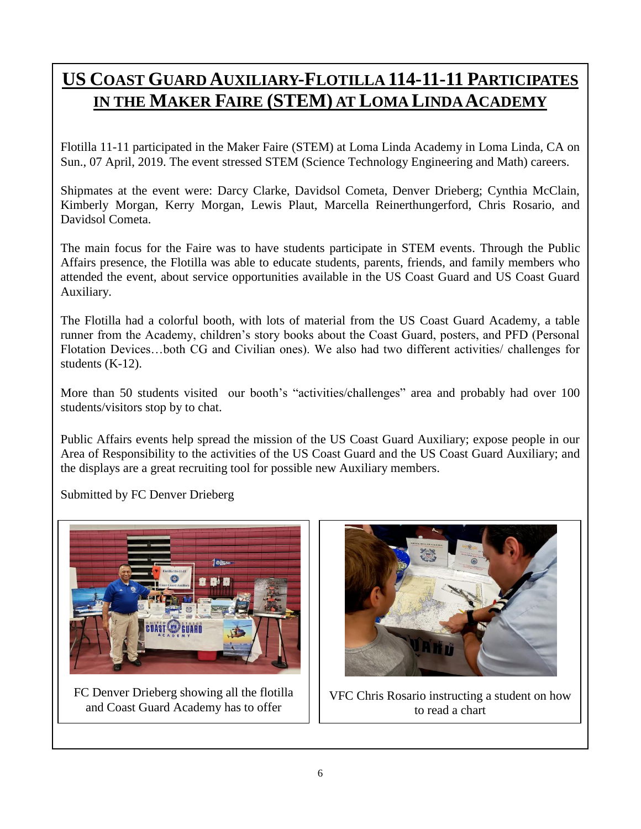# **US COAST GUARD AUXILIARY-FLOTILLA 114-11-11 PARTICIPATES IN THE MAKER FAIRE (STEM) AT LOMA LINDA ACADEMY**

Flotilla 11-11 participated in the Maker Faire (STEM) at Loma Linda Academy in Loma Linda, CA on Sun., 07 April, 2019. The event stressed STEM (Science Technology Engineering and Math) careers.

Shipmates at the event were: Darcy Clarke, Davidsol Cometa, Denver Drieberg; Cynthia McClain, Kimberly Morgan, Kerry Morgan, Lewis Plaut, Marcella Reinerthungerford, Chris Rosario, and Davidsol Cometa.

The main focus for the Faire was to have students participate in STEM events. Through the Public Affairs presence, the Flotilla was able to educate students, parents, friends, and family members who attended the event, about service opportunities available in the US Coast Guard and US Coast Guard Auxiliary.

The Flotilla had a colorful booth, with lots of material from the US Coast Guard Academy, a table runner from the Academy, children's story books about the Coast Guard, posters, and PFD (Personal Flotation Devices…both CG and Civilian ones). We also had two different activities/ challenges for students (K-12).

More than 50 students visited our booth's "activities/challenges" area and probably had over 100 students/visitors stop by to chat.

Public Affairs events help spread the mission of the US Coast Guard Auxiliary; expose people in our Area of Responsibility to the activities of the US Coast Guard and the US Coast Guard Auxiliary; and the displays are a great recruiting tool for possible new Auxiliary members.

Submitted by FC Denver Drieberg



FC Denver Drieberg showing all the flotilla and Coast Guard Academy has to offer



VFC Chris Rosario instructing a student on how to read a chart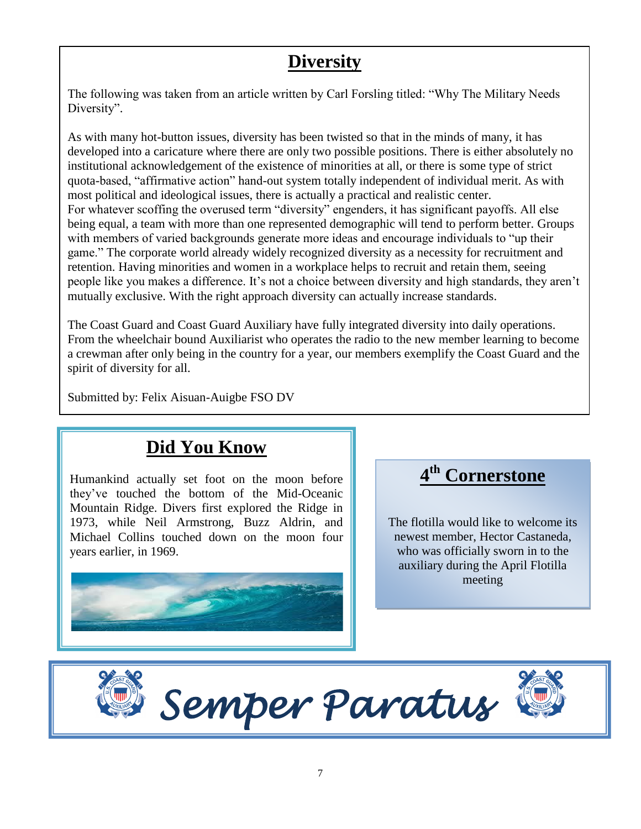# **Diversity**

The following was taken from an article written by Carl Forsling titled: "Why The Military Needs Diversity".

As with many hot-button issues, diversity has been twisted so that in the minds of many, it has developed into a caricature where there are only two possible positions. There is either absolutely no institutional acknowledgement of the existence of minorities at all, or there is some type of strict quota-based, "affirmative action" hand-out system totally independent of individual merit. As with most political and ideological issues, there is actually a practical and realistic center. For whatever scoffing the overused term "diversity" engenders, it has significant payoffs. All else being equal, a team with more than one represented demographic will tend to perform better. Groups with members of varied backgrounds generate more ideas and encourage individuals to "up their game." The corporate world already widely recognized diversity as a necessity for recruitment and retention. Having minorities and women in a workplace helps to recruit and retain them, seeing people like you makes a difference. It's not a choice between diversity and high standards, they aren't mutually exclusive. With the right approach diversity can actually increase standards.

The Coast Guard and Coast Guard Auxiliary have fully integrated diversity into daily operations. From the wheelchair bound Auxiliarist who operates the radio to the new member learning to become a crewman after only being in the country for a year, our members exemplify the Coast Guard and the spirit of diversity for all.

Submitted by: Felix Aisuan-Auigbe FSO DV

# **Did You Know**

Humankind actually set foot on the moon before they've touched the bottom of the Mid-Oceanic Mountain Ridge. Divers first explored the Ridge in 1973, while Neil Armstrong, Buzz Aldrin, and Michael Collins touched down on the moon four years earlier, in 1969.



# **4 th Cornerstone**

The flotilla would like to welcome its newest member, Hector Castaneda, who was officially sworn in to the auxiliary during the April Flotilla meeting